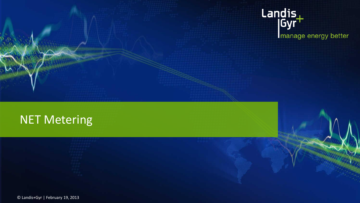# Landis<br>|Gyr<sup>+</sup> manage energy better

### NET Metering

© Landis+Gyr | February 19, 2013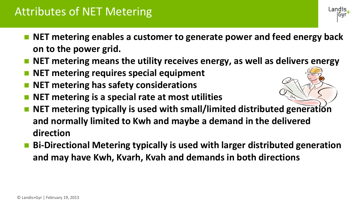#### Attributes of NET Metering

■ NET metering enables a customer to generate power and feed energy back **on to the power grid.** 

Landis

- **NET metering means the utility receives energy, as well as delivers energy**
- **NET metering requires special equipment**
- **NET metering has safety considerations**
- **NET metering is a special rate at most utilities**
- **NET metering typically is used with small/limited distributed generation and normally limited to Kwh and maybe a demand in the delivered direction**
- Bi-Directional Metering typically is used with larger distributed generation **and may have Kwh, Kvarh, Kvah and demands in both directions**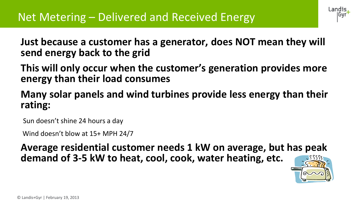

**Just because a customer has a generator, does NOT mean they will send energy back to the grid**

**This will only occur when the customer's generation provides more energy than their load consumes**

**Many solar panels and wind turbines provide less energy than their rating:** 

Sun doesn't shine 24 hours a day

Wind doesn't blow at 15+ MPH 24/7

**Average residential customer needs 1 kW on average, but has peak demand of 3-5 kW to heat, cool, cook, water heating, etc.**

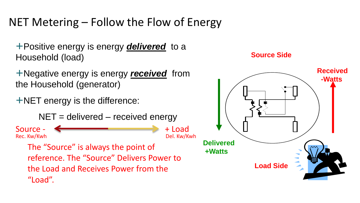### NET Metering – Follow the Flow of Energy

+Positive energy is energy *delivered* to a Household (load)

+Negative energy is energy *received* from the Household (generator)

+NET energy is the difference:

 $NET =$  delivered – received energy

Source -  $\leftarrow$  + Load Rec. Kw/Kwh Del. Kw/Kwh

The "Source" is always the point of reference. The "Source" Delivers Power to the Load and Receives Power from the "Load".



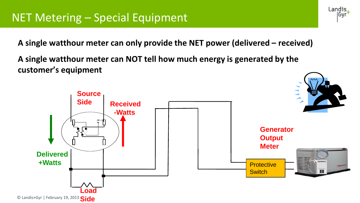**A single watthour meter can only provide the NET power (delivered – received)**

**A single watthour meter can NOT tell how much energy is generated by the customer's equipment**



Landis |Gyr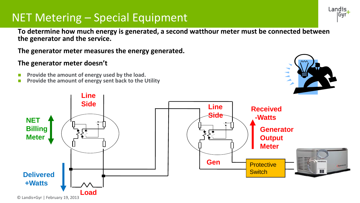#### NET Metering – Special Equipment

**To determine how much energy is generated, a second watthour meter must be connected between the generator and the service.** 

**The generator meter measures the energy generated.**

#### **The generator meter doesn't**

- **Provide the amount of energy used by the load.**
- **Provide the amount of energy sent back to the Utility**



Landis, lGvr

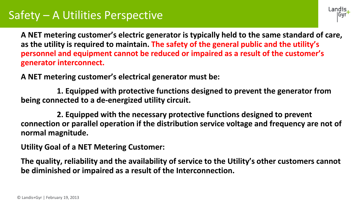#### Safety – A Utilities Perspective



**A NET metering customer's electric generator is typically held to the same standard of care, as the utility is required to maintain. The safety of the general public and the utility's personnel and equipment cannot be reduced or impaired as a result of the customer's generator interconnect.**

**A NET metering customer's electrical generator must be:**

**1. Equipped with protective functions designed to prevent the generator from being connected to a de-energized utility circuit.**

**2. Equipped with the necessary protective functions designed to prevent connection or parallel operation if the distribution service voltage and frequency are not of normal magnitude.** 

**Utility Goal of a NET Metering Customer:**

**The quality, reliability and the availability of service to the Utility's other customers cannot be diminished or impaired as a result of the Interconnection.**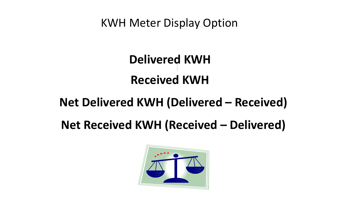KWH Meter Display Option

# **Delivered KWH Received KWH**

### **Net Delivered KWH (Delivered – Received)**

## **Net Received KWH (Received – Delivered)**

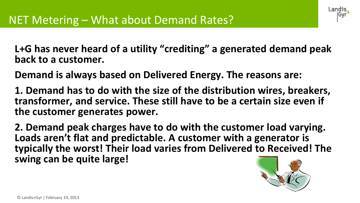Landis

**L+G has never heard of a utility "crediting" a generated demand peak back to a customer.**

**Demand is always based on Delivered Energy. The reasons are:**

**1. Demand has to do with the size of the distribution wires, breakers, transformer, and service. These still have to be a certain size even if the customer generates power.**

**2. Demand peak charges have to do with the customer load varying. Loads aren't flat and predictable. A customer with a generator is typically the worst! Their load varies from Delivered to Received! The swing can be quite large!**

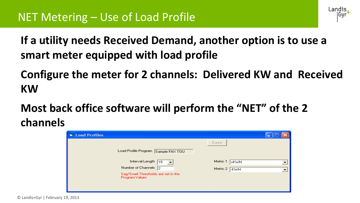**If a utility needs Received Demand, another option is to use a smart meter equipped with load profile**

**Configure the meter for 2 channels: Delivered KW and Received KW**

Landis

**Most back office software will perform the "NET" of the 2 channels** 

| <b>El Load Profiles</b>                               |                  |  |
|-------------------------------------------------------|------------------|--|
|                                                       | Save             |  |
| Load Profile Program Sample FAX TOU                   |                  |  |
| Interval Length 15<br>$\overline{\phantom{0}}$        | Metric 1<br>+KWH |  |
| Number of Channels 2                                  | Metric 2   KWH   |  |
| Sag/Swell Thresholds are set in the<br>Program Values |                  |  |
|                                                       |                  |  |
|                                                       |                  |  |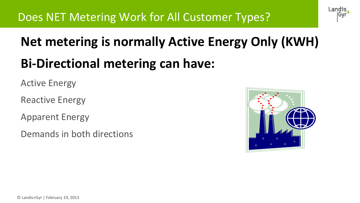# **Net metering is normally Active Energy Only (KWH) Bi-Directional metering can have:**

Active Energy

Reactive Energy

Apparent Energy

Demands in both directions



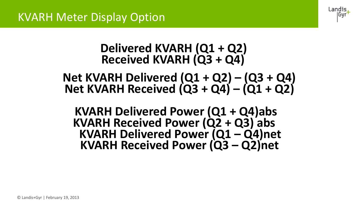

### **Delivered KVARH (Q1 + Q2) Received KVARH (Q3 + Q4)**

**Net KVARH Delivered (Q1 + Q2) – (Q3 + Q4) Net KVARH Received (Q3 + Q4) – (Q1 + Q2)**

**KVARH Delivered Power (Q1 + Q4)abs KVARH Received Power (Q2 + Q3) abs KVARH Delivered Power (Q1 – Q4)net KVARH Received Power (Q3 – Q2)net**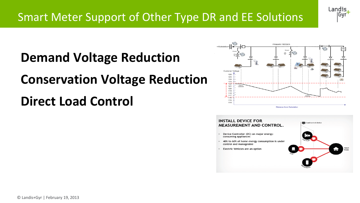

# **Demand Voltage Reduction**

# **Conservation Voltage Reduction**

# **Direct Load Control**